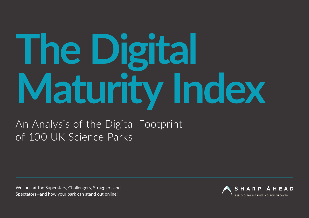# **The Digital Maturity Index**

An Analysis of the Digital Footprint of 100 UK Science Parks

We look at the Superstars, Challengers, Stragglers and Spectators—and how your park can stand out online!

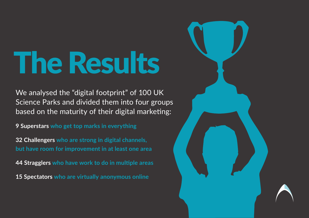## The Results

We analysed the "digital footprint" of 100 UK Science Parks and divided them into four groups based on the maturity of their digital marketing:

**9 Superstars who get top marks in everything**

**32 Challengers who are strong in digital channels, but have room for improvement in at least one area**

**44 Stragglers who have work to do in multiple areas**

**15 Spectators who are virtually anonymous online**

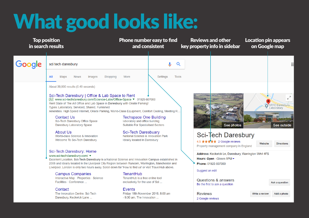### What good looks like:

| <b>Top position</b><br>in search results |                                                                                                                                                                                                                                                                                                                                                                                                                                                                                                                                                                                       | Phone number easy to find<br>and consistent                                                                                                                                                                    | <b>Reviews and other</b><br>key property info in sidebar                                                                                  | <b>Location pin appears</b><br>on Google map                                                           |  |
|------------------------------------------|---------------------------------------------------------------------------------------------------------------------------------------------------------------------------------------------------------------------------------------------------------------------------------------------------------------------------------------------------------------------------------------------------------------------------------------------------------------------------------------------------------------------------------------------------------------------------------------|----------------------------------------------------------------------------------------------------------------------------------------------------------------------------------------------------------------|-------------------------------------------------------------------------------------------------------------------------------------------|--------------------------------------------------------------------------------------------------------|--|
| Google                                   | sci tech daresbury<br>Shopping<br>All<br>Maps<br><b>News</b><br>Images                                                                                                                                                                                                                                                                                                                                                                                                                                                                                                                | Q<br>More<br><b>Settings</b><br><b>Tools</b>                                                                                                                                                                   |                                                                                                                                           |                                                                                                        |  |
|                                          | About 39,900 results (0.49 seconds)<br>Sci-Tech Daresbury   Office & Lab Space to Rent<br>Ad) www.sci-techdaresbury.com/Science-Labs/Office-Space ▼ 01925 607000<br>Rent State of The Art Office and Lab Space in Daresbury with Onsite Parking!<br>Types: Laboratory, Serviced, Shared, Furnished<br>Amenities: High Speed Internet, Onsite Parking, World-Class Equipment, Comfort Cooling, Meeting R<br><b>Contact Us</b><br>Sci-Tech Daresbury Office Space<br>Daresbury Laboratory Space<br><b>About Us</b><br>World-class Science & Innovation<br>Welcome To Sci-Tech Daresbury | <b>Techspace One Building</b><br>laboratory and office building<br>Suitable For Specialised Sectors<br><b>Sci-Tech Daresbuary</b><br>National Science & Innovation Park<br><b>Ideally located in Daresbury</b> | See photos<br><b>Sci-Tech Daresbury</b><br>4.5 $\star \star \star \star \star$ 2 Google reviews<br>Property management company in England | ⊬ঁ<br>STFC Daresbury<br>Laboratory<br><b>Providence</b><br>See outside<br>Website<br><b>Directions</b> |  |
|                                          | Sci-Tech Daresbury: Home<br>www.sci-techdaresbury.com/<br>Excellent Location. Sci-Tech Daresbury is a National Science and Innovation Campus established in<br>2006 and ideally located in the Liverpool City Region between Runcorn, Warrington, Manchester and<br>Liverpool. London is only two hours away. Scroll down for 'How to find us' or visit TravelHub above.<br><b>Campus Companies</b><br><b>TenantHub</b>                                                                                                                                                               |                                                                                                                                                                                                                | Hours: Open · Closes 5PM -<br>Phone: 01925 607000<br>Suggest an edit                                                                      | Address: Keckwick Ln, Daresbury, Warrington WA4 4FS                                                    |  |
|                                          | Interactive Map · Properties · Science<br>Facilities · Conference<br>Contact<br>The Innovation Centre, Sci-Tech<br>Daresbury, Keckwick Lane                                                                                                                                                                                                                                                                                                                                                                                                                                           | TenantHub is a free online tool<br>exclusively for the use of Sci<br>Events<br>Friday 18th November 2016. 8:00 am<br>- 9:30 am. The Innovation                                                                 | Questions & answers<br>Be the first to ask a question<br><b>Reviews</b><br>2 Google reviews                                               | Ask a question<br>Write a review<br>Add a photo                                                        |  |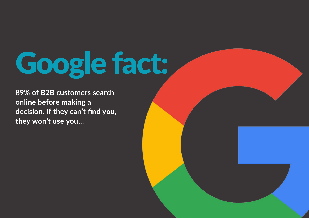# Google fact:

**89% of B2B customers search online before making a decision. If they can't find you, they won't use you…**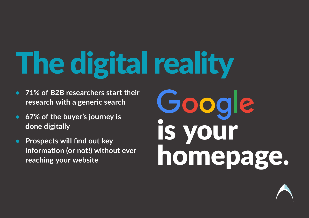The digital reality

- **71% of B2B researchers start their research with a generic search**
- **67% of the buyer's journey is done digitally**
- **Prospects will find out key information (or not!) without ever reaching your website**

Google is your homepage.

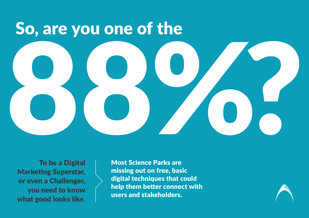# So, are you one of the 88%?

To be a Digital Marketing Superstar, or even a Challenger, you need to know what good looks like.

Most Science Parks are missing out on free, basic digital techniques that could help them better connect with users and stakeholders.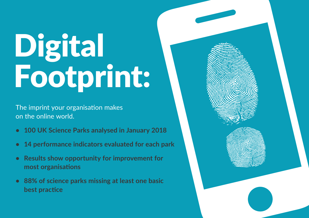# Digital Footprint:

The imprint your organisation makes on the online world.

- **100 UK Science Parks analysed in January 2018**
- **14 performance indicators evaluated for each park**
- **Results show opportunity for improvement for most organisations**
- **88% of science parks missing at least one basic best practice**

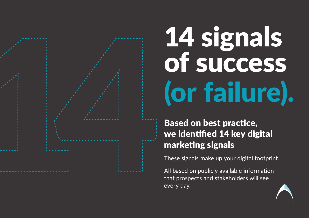

### 14 signals of success (or failure).

Based on best practice, we identified 14 key digital marketing signals

These signals make up your digital footprint.

All based on publicly available information that prospects and stakeholders will see every day.

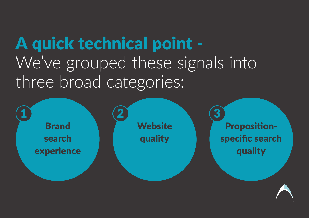### A quick technical point - We've grouped these signals into three broad categories:

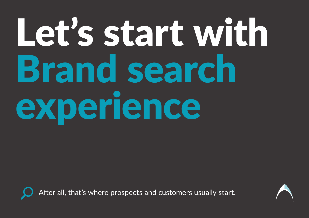# Let's start with Brand search experience



After all, that's where prospects and customers usually start.

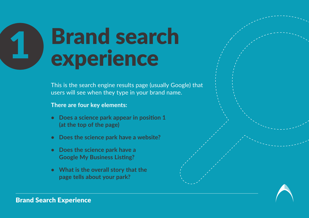### **Brand search** experience

This is the search engine results page (usually Google) that users will see when they type in your brand name.

**There are four key elements:**

- **• Does a science park appear in position 1 (at the top of the page)**
- **Does the science park have a website?**
- **Does the science park have a Google My Business Listing?**
- **What is the overall story that the page tells about your park?**

Brand Search Experience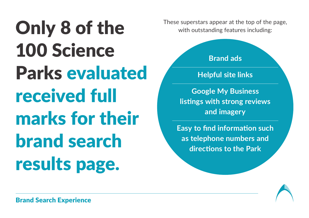Only 8 of the 100 Science Parks evaluated received full marks for their brand search results page.

These superstars appear at the top of the page, with outstanding features including:

#### **Brand ads**

#### **Helpful site links**

**Google My Business listings with strong reviews and imagery**

**Easy to find information such as telephone numbers and directions to the Park**

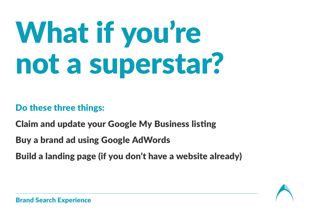# What if you're not a superstar?

#### Do these three things:

Claim and update your Google My Business listing

Buy a brand ad using Google AdWords

Build a landing page (if you don't have a website already)

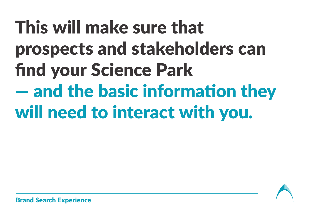### This will make sure that prospects and stakeholders can find your Science Park — and the basic information they will need to interact with you.



Brand Search Experience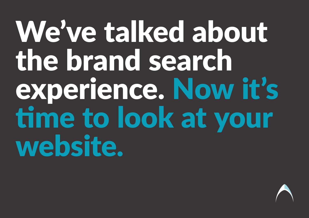### We've talked about the brand search experience. Now it's time to look at your website.

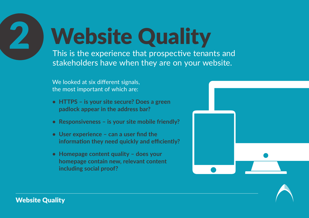**Website Quality** 

This is the experience that prospective tenants and stakeholders have when they are on your website.

We looked at six different signals, the most important of which are:

- **HTTPS is your site secure? Does a green padlock appear in the address bar?**
- **Responsiveness is your site mobile friendly?**
- **• User experience can a user find the information they need quickly and efficiently?**
- **• Homepage content quality does your homepage contain new, relevant content including social proof?**



![](_page_15_Picture_8.jpeg)

Website Quality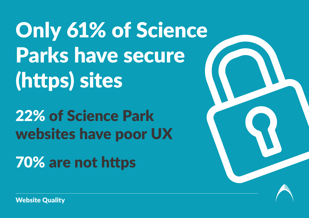Only 61% of Science Parks have secure (https) sites

22% of Science Park websites have poor UX

70% are not https

![](_page_16_Picture_3.jpeg)

Website Quality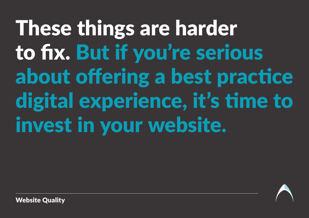These things are harder to fix. But if you're serious about offering a best practice digital experience, it's time to invest in your website.

![](_page_17_Picture_1.jpeg)

Website Quality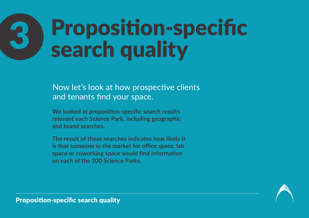### Proposition-specific search quality

Now let's look at how prospective clients and tenants find your space.

**We looked at proposition-specific search results relevant each Science Park, including geographic and brand searches.**

**The result of these searches indicates how likely it is that someone in the market for office space, lab space or coworking space would find information on each of the 100 Science Parks.**

![](_page_18_Picture_4.jpeg)

Proposition-specific search quality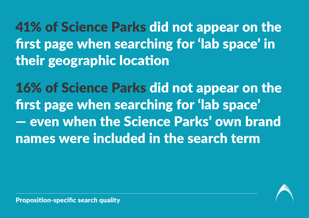41% of Science Parks did not appear on the first page when searching for 'lab space' in their geographic location

16% of Science Parks did not appear on the first page when searching for 'lab space' — even when the Science Parks' own brand names were included in the search term

![](_page_19_Picture_2.jpeg)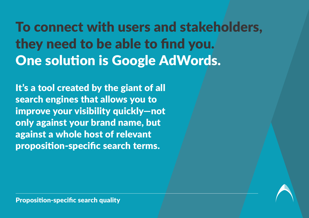To connect with users and stakeholders, they need to be able to find you. One solution is Google AdWords.

It's a tool created by the giant of all search engines that allows you to improve your visibility quickly—not only against your brand name, but against a whole host of relevant proposition-specific search terms.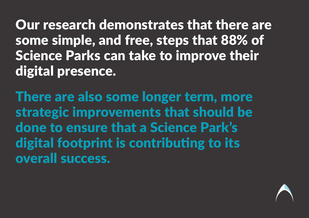Our research demonstrates that there are some simple, and free, steps that 88% of Science Parks can take to improve their digital presence.

There are also some longer term, more strategic improvements that should be done to ensure that a Science Park's digital footprint is contributing to its overall success.